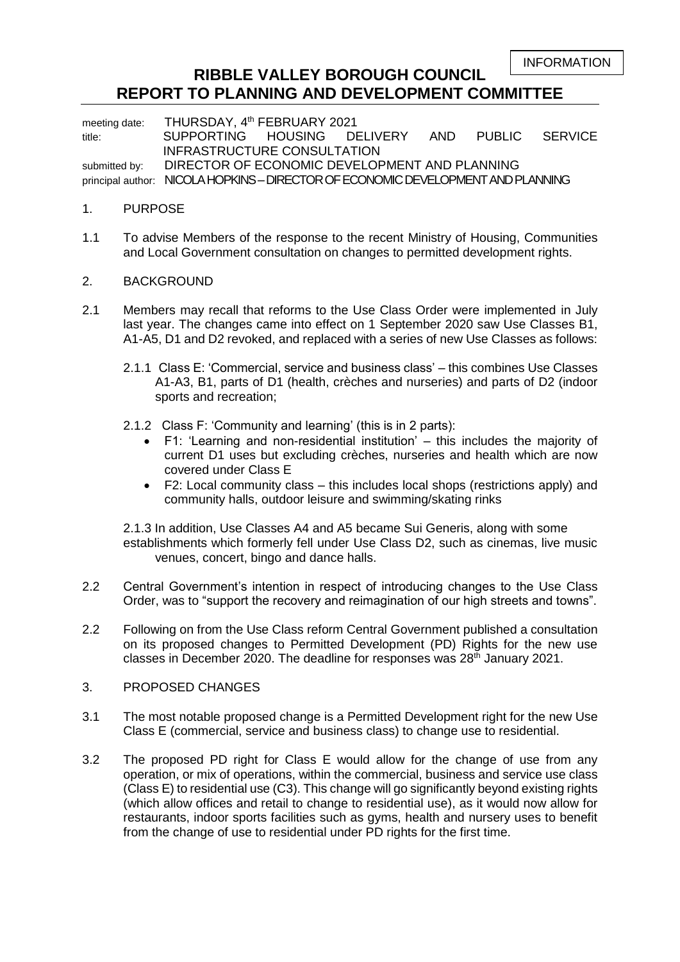INFORMATION

## **RIBBLE VALLEY BOROUGH COUNCIL REPORT TO PLANNING AND DEVELOPMENT COMMITTEE**

meeting date: THURSDAY, 4<sup>th</sup> FEBRUARY 2021 title: SUPPORTING HOUSING DELIVERY AND PUBLIC SERVICE INFRASTRUCTURE CONSULTATION submitted by: DIRECTOR OF ECONOMIC DEVELOPMENT AND PLANNING principal author: NICOLA HOPKINS - DIRECTOR OF ECONOMIC DEVELOPMENT AND PLANNING

### 1. PURPOSE

1.1 To advise Members of the response to the recent Ministry of Housing, Communities and Local Government consultation on changes to permitted development rights.

### 2. BACKGROUND

- 2.1 Members may recall that reforms to the Use Class Order were implemented in July last year. The changes came into effect on 1 September 2020 saw Use Classes B1, A1-A5, D1 and D2 revoked, and replaced with a series of new Use Classes as follows:
	- 2.1.1 Class E: 'Commercial, service and business class' this combines Use Classes A1-A3, B1, parts of D1 (health, crèches and nurseries) and parts of D2 (indoor sports and recreation;
	- 2.1.2 Class F: 'Community and learning' (this is in 2 parts):
		- F1: 'Learning and non-residential institution' this includes the majority of current D1 uses but excluding crèches, nurseries and health which are now covered under Class E
		- F2: Local community class this includes local shops (restrictions apply) and community halls, outdoor leisure and swimming/skating rinks

2.1.3 In addition, Use Classes A4 and A5 became Sui Generis, along with some establishments which formerly fell under Use Class D2, such as cinemas, live music venues, concert, bingo and dance halls.

- 2.2 Central Government's intention in respect of introducing changes to the Use Class Order, was to "support the recovery and reimagination of our high streets and towns".
- 2.2 Following on from the Use Class reform Central Government published a consultation on its proposed changes to Permitted Development (PD) Rights for the new use classes in December 2020. The deadline for responses was  $28<sup>th</sup>$  January 2021.
- 3. PROPOSED CHANGES
- 3.1 The most notable proposed change is a Permitted Development right for the new Use Class E (commercial, service and business class) to change use to residential.
- 3.2 The proposed PD right for Class E would allow for the change of use from any operation, or mix of operations, within the commercial, business and service use class (Class E) to residential use (C3). This change will go significantly beyond existing rights (which allow offices and retail to change to residential use), as it would now allow for restaurants, indoor sports facilities such as gyms, health and nursery uses to benefit from the change of use to residential under PD rights for the first time.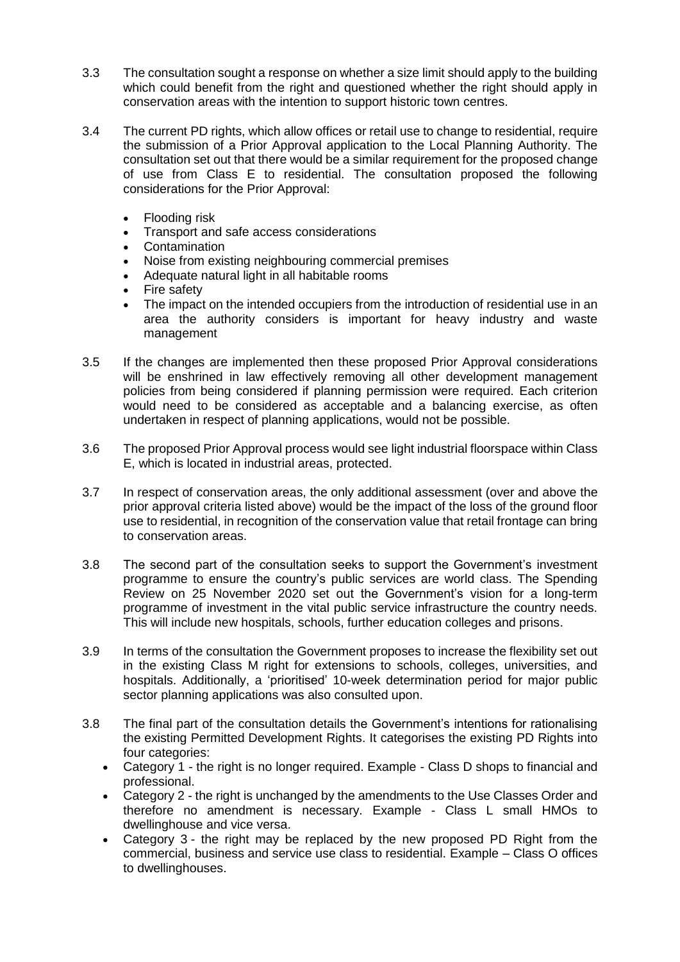- 3.3 The consultation sought a response on whether a size limit should apply to the building which could benefit from the right and questioned whether the right should apply in conservation areas with the intention to support historic town centres.
- 3.4 The current PD rights, which allow offices or retail use to change to residential, require the submission of a Prior Approval application to the Local Planning Authority. The consultation set out that there would be a similar requirement for the proposed change of use from Class E to residential. The consultation proposed the following considerations for the Prior Approval:
	- Flooding risk
	- Transport and safe access considerations
	- **Contamination**
	- Noise from existing neighbouring commercial premises
	- Adequate natural light in all habitable rooms
	- Fire safety
	- The impact on the intended occupiers from the introduction of residential use in an area the authority considers is important for heavy industry and waste management
- 3.5 If the changes are implemented then these proposed Prior Approval considerations will be enshrined in law effectively removing all other development management policies from being considered if planning permission were required. Each criterion would need to be considered as acceptable and a balancing exercise, as often undertaken in respect of planning applications, would not be possible.
- 3.6 The proposed Prior Approval process would see light industrial floorspace within Class E, which is located in industrial areas, protected.
- 3.7 In respect of conservation areas, the only additional assessment (over and above the prior approval criteria listed above) would be the impact of the loss of the ground floor use to residential, in recognition of the conservation value that retail frontage can bring to conservation areas.
- 3.8 The second part of the consultation seeks to support the Government's investment programme to ensure the country's public services are world class. The Spending Review on 25 November 2020 set out the Government's vision for a long-term programme of investment in the vital public service infrastructure the country needs. This will include new hospitals, schools, further education colleges and prisons.
- 3.9 In terms of the consultation the Government proposes to increase the flexibility set out in the existing Class M right for extensions to schools, colleges, universities, and hospitals. Additionally, a 'prioritised' 10-week determination period for major public sector planning applications was also consulted upon.
- 3.8 The final part of the consultation details the Government's intentions for rationalising the [existing Permitted Development Rights.](https://www.turley.co.uk/comment/basic-guide-permitted-development-rights) It categorises the existing PD Rights into four categories:
	- Category 1 the right is no longer required. Example Class D shops to financial and professional.
	- Category 2 the right is unchanged by the amendments to the Use Classes Order and therefore no amendment is necessary. Example - Class L small HMOs to dwellinghouse and vice versa.
	- Category 3 the right may be replaced by the new proposed PD Right from the commercial, business and service use class to residential. Example – Class O offices to dwellinghouses.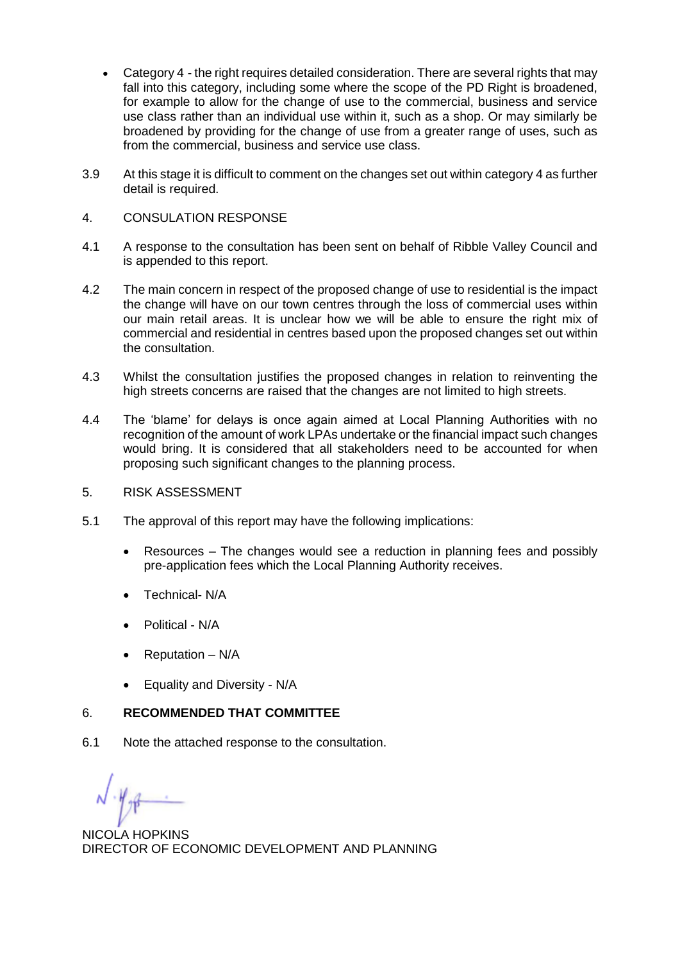- Category 4 the right requires detailed consideration. There are several rights that may fall into this category, including some where the scope of the PD Right is broadened, for example to allow for the change of use to the commercial, business and service use class rather than an individual use within it, such as a shop. Or may similarly be broadened by providing for the change of use from a greater range of uses, such as from the commercial, business and service use class.
- 3.9 At this stage it is difficult to comment on the changes set out within category 4 as further detail is required.
- 4. CONSULATION RESPONSE
- 4.1 A response to the consultation has been sent on behalf of Ribble Valley Council and is appended to this report.
- 4.2 The main concern in respect of the proposed change of use to residential is the impact the change will have on our town centres through the loss of commercial uses within our main retail areas. It is unclear how we will be able to ensure the right mix of commercial and residential in centres based upon the proposed changes set out within the consultation.
- 4.3 Whilst the consultation justifies the proposed changes in relation to reinventing the high streets concerns are raised that the changes are not limited to high streets.
- 4.4 The 'blame' for delays is once again aimed at Local Planning Authorities with no recognition of the amount of work LPAs undertake or the financial impact such changes would bring. It is considered that all stakeholders need to be accounted for when proposing such significant changes to the planning process.
- 5. RISK ASSESSMENT
- 5.1 The approval of this report may have the following implications:
	- Resources The changes would see a reduction in planning fees and possibly pre-application fees which the Local Planning Authority receives.
	- Technical- N/A
	- Political N/A
	- Reputation *–* N/A
	- Equality and Diversity N/A

### 6. **RECOMMENDED THAT COMMITTEE**

6.1 Note the attached response to the consultation.

NICOLA HOPKINS DIRECTOR OF ECONOMIC DEVELOPMENT AND PLANNING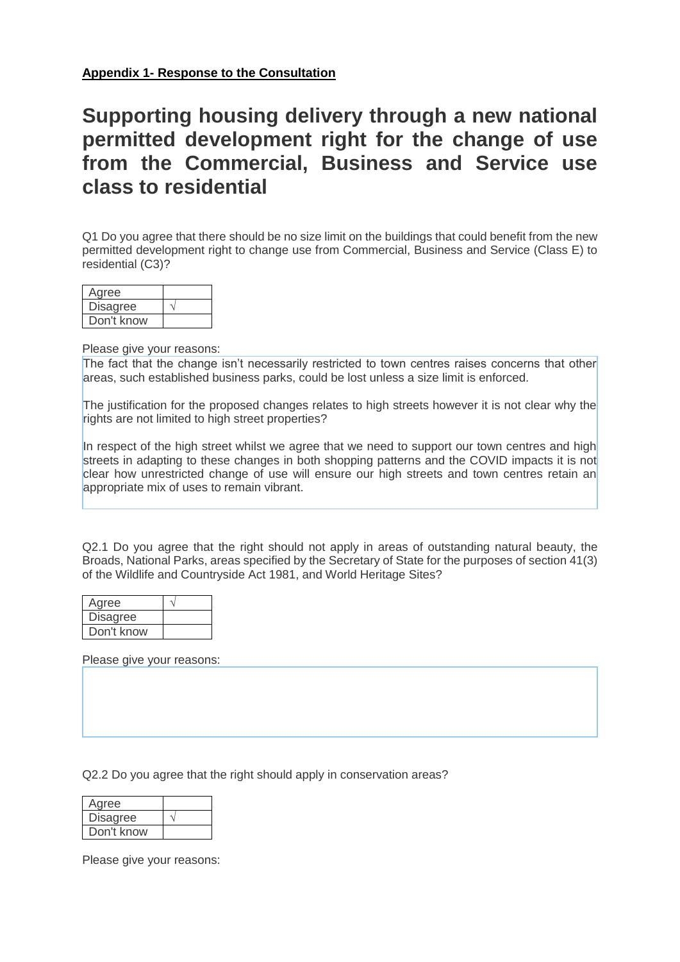## **Supporting housing delivery through a new national permitted development right for the change of use from the Commercial, Business and Service use class to residential**

Q1 Do you agree that there should be no size limit on the buildings that could benefit from the new permitted development right to change use from Commercial, Business and Service (Class E) to residential (C3)?

| Agree      |  |
|------------|--|
| Disagree   |  |
| Don't know |  |

Please give your reasons:

The fact that the change isn't necessarily restricted to town centres raises concerns that other areas, such established business parks, could be lost unless a size limit is enforced.

The justification for the proposed changes relates to high streets however it is not clear why the rights are not limited to high street properties?

In respect of the high street whilst we agree that we need to support our town centres and high streets in adapting to these changes in both shopping patterns and the COVID impacts it is not clear how unrestricted change of use will ensure our high streets and town centres retain an appropriate mix of uses to remain vibrant.

Q2.1 Do you agree that the right should not apply in areas of outstanding natural beauty, the Broads, National Parks, areas specified by the Secretary of State for the purposes of section 41(3) of the Wildlife and Countryside Act 1981, and World Heritage Sites?

| Agree           |  |
|-----------------|--|
| <b>Disagree</b> |  |
| Don't know      |  |

Please give your reasons:

Q2.2 Do you agree that the right should apply in conservation areas?

| Agree           |  |
|-----------------|--|
| <b>Disagree</b> |  |
| Don't know      |  |

Please give your reasons: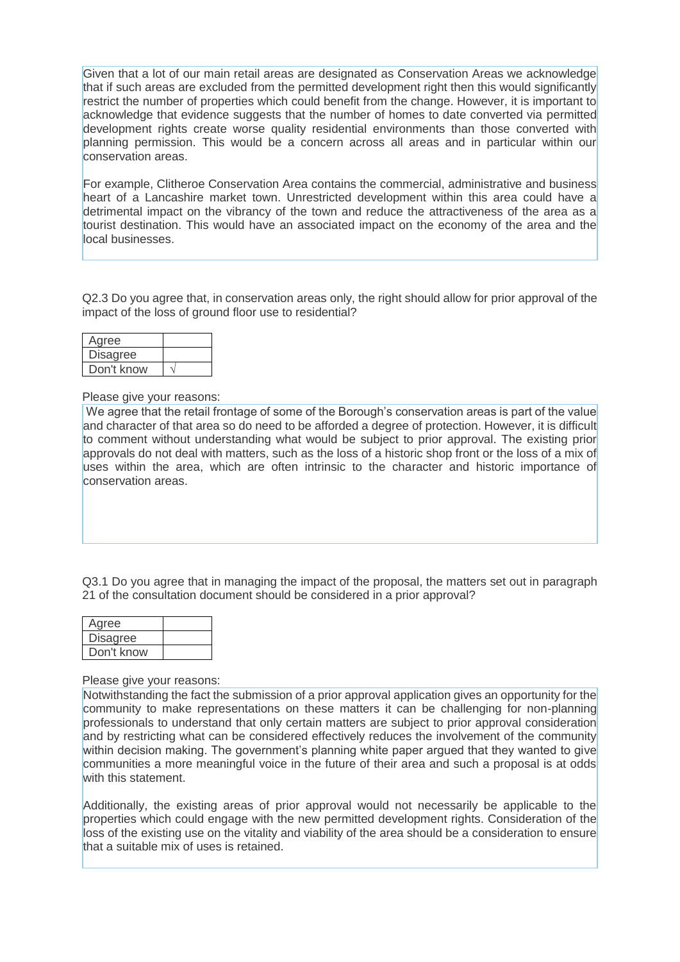Given that a lot of our main retail areas are designated as Conservation Areas we acknowledge that if such areas are excluded from the permitted development right then this would significantly restrict the number of properties which could benefit from the change. However, it is important to acknowledge that evidence suggests that the number of homes to date converted via permitted development rights create worse quality residential environments than those converted with planning permission. This would be a concern across all areas and in particular within our conservation areas.

For example, Clitheroe Conservation Area contains the commercial, administrative and business heart of a Lancashire market town. Unrestricted development within this area could have a detrimental impact on the vibrancy of the town and reduce the attractiveness of the area as a tourist destination. This would have an associated impact on the economy of the area and the local businesses.

Q2.3 Do you agree that, in conservation areas only, the right should allow for prior approval of the impact of the loss of ground floor use to residential?

| Agree           |  |
|-----------------|--|
| <b>Disagree</b> |  |
| Don't know      |  |

Please give your reasons:

We agree that the retail frontage of some of the Borough's conservation areas is part of the value and character of that area so do need to be afforded a degree of protection. However, it is difficult to comment without understanding what would be subject to prior approval. The existing prior approvals do not deal with matters, such as the loss of a historic shop front or the loss of a mix of uses within the area, which are often intrinsic to the character and historic importance of conservation areas.

Q3.1 Do you agree that in managing the impact of the proposal, the matters set out in paragraph 21 of the consultation document should be considered in a prior approval?

| Agree           |  |
|-----------------|--|
| <b>Disagree</b> |  |
| Don't know      |  |

Please give your reasons:

Notwithstanding the fact the submission of a prior approval application gives an opportunity for the community to make representations on these matters it can be challenging for non-planning professionals to understand that only certain matters are subject to prior approval consideration and by restricting what can be considered effectively reduces the involvement of the community within decision making. The government's planning white paper argued that they wanted to give communities a more meaningful voice in the future of their area and such a proposal is at odds with this statement.

Additionally, the existing areas of prior approval would not necessarily be applicable to the properties which could engage with the new permitted development rights. Consideration of the loss of the existing use on the vitality and viability of the area should be a consideration to ensure that a suitable mix of uses is retained.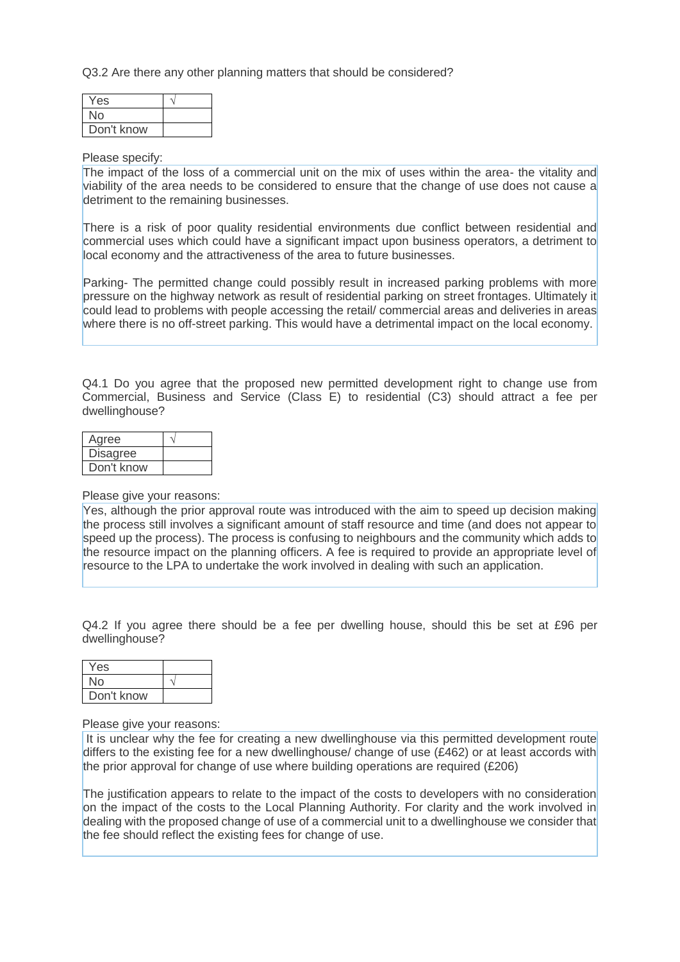Q3.2 Are there any other planning matters that should be considered?

| Yes        |  |
|------------|--|
| No         |  |
| Don't know |  |

#### Please specify:

The impact of the loss of a commercial unit on the mix of uses within the area- the vitality and viability of the area needs to be considered to ensure that the change of use does not cause a detriment to the remaining businesses.

There is a risk of poor quality residential environments due conflict between residential and commercial uses which could have a significant impact upon business operators, a detriment to local economy and the attractiveness of the area to future businesses.

Parking- The permitted change could possibly result in increased parking problems with more pressure on the highway network as result of residential parking on street frontages. Ultimately it could lead to problems with people accessing the retail/ commercial areas and deliveries in areas where there is no off-street parking. This would have a detrimental impact on the local economy.

Q4.1 Do you agree that the proposed new permitted development right to change use from Commercial, Business and Service (Class E) to residential (C3) should attract a fee per dwellinghouse?

| Agree           |  |
|-----------------|--|
| <b>Disagree</b> |  |
| Don't know      |  |

Please give your reasons:

Yes, although the prior approval route was introduced with the aim to speed up decision making the process still involves a significant amount of staff resource and time (and does not appear to speed up the process). The process is confusing to neighbours and the community which adds to the resource impact on the planning officers. A fee is required to provide an appropriate level of resource to the LPA to undertake the work involved in dealing with such an application.

Q4.2 If you agree there should be a fee per dwelling house, should this be set at £96 per dwellinghouse?

| Yes        |  |
|------------|--|
| No         |  |
| Don't know |  |

Please give your reasons:

It is unclear why the fee for creating a new dwellinghouse via this permitted development route differs to the existing fee for a new dwellinghouse/ change of use (£462) or at least accords with the prior approval for change of use where building operations are required (£206)

The justification appears to relate to the impact of the costs to developers with no consideration on the impact of the costs to the Local Planning Authority. For clarity and the work involved in dealing with the proposed change of use of a commercial unit to a dwellinghouse we consider that the fee should reflect the existing fees for change of use.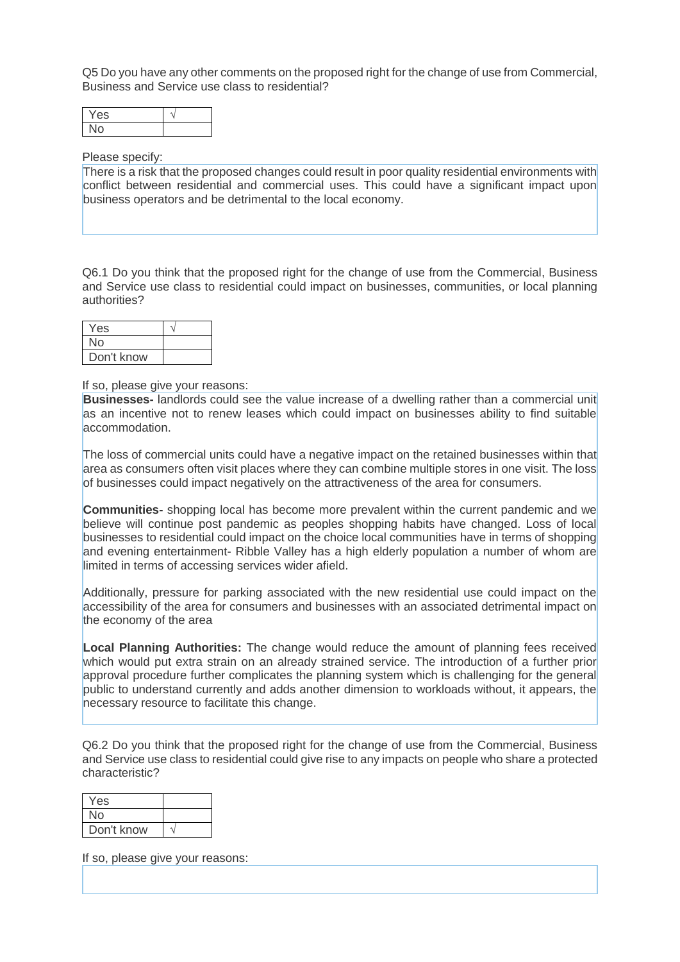Q5 Do you have any other comments on the proposed right for the change of use from Commercial, Business and Service use class to residential?

| v<br>ES |  |
|---------|--|
|         |  |

#### Please specify:

There is a risk that the proposed changes could result in poor quality residential environments with conflict between residential and commercial uses. This could have a significant impact upon business operators and be detrimental to the local economy.

Q6.1 Do you think that the proposed right for the change of use from the Commercial, Business and Service use class to residential could impact on businesses, communities, or local planning authorities?

| Yes        |  |
|------------|--|
| No         |  |
| Don't know |  |

If so, please give your reasons:

**Businesses-** landlords could see the value increase of a dwelling rather than a commercial unit as an incentive not to renew leases which could impact on businesses ability to find suitable accommodation.

The loss of commercial units could have a negative impact on the retained businesses within that area as consumers often visit places where they can combine multiple stores in one visit. The loss of businesses could impact negatively on the attractiveness of the area for consumers.

**Communities-** shopping local has become more prevalent within the current pandemic and we believe will continue post pandemic as peoples shopping habits have changed. Loss of local businesses to residential could impact on the choice local communities have in terms of shopping and evening entertainment- Ribble Valley has a high elderly population a number of whom are limited in terms of accessing services wider afield.

Additionally, pressure for parking associated with the new residential use could impact on the accessibility of the area for consumers and businesses with an associated detrimental impact on the economy of the area

**Local Planning Authorities:** The change would reduce the amount of planning fees received which would put extra strain on an already strained service. The introduction of a further prior approval procedure further complicates the planning system which is challenging for the general public to understand currently and adds another dimension to workloads without, it appears, the necessary resource to facilitate this change.

Q6.2 Do you think that the proposed right for the change of use from the Commercial, Business and Service use class to residential could give rise to any impacts on people who share a protected characteristic?

| Yes        |  |
|------------|--|
| Nο         |  |
| Don't know |  |

If so, please give your reasons: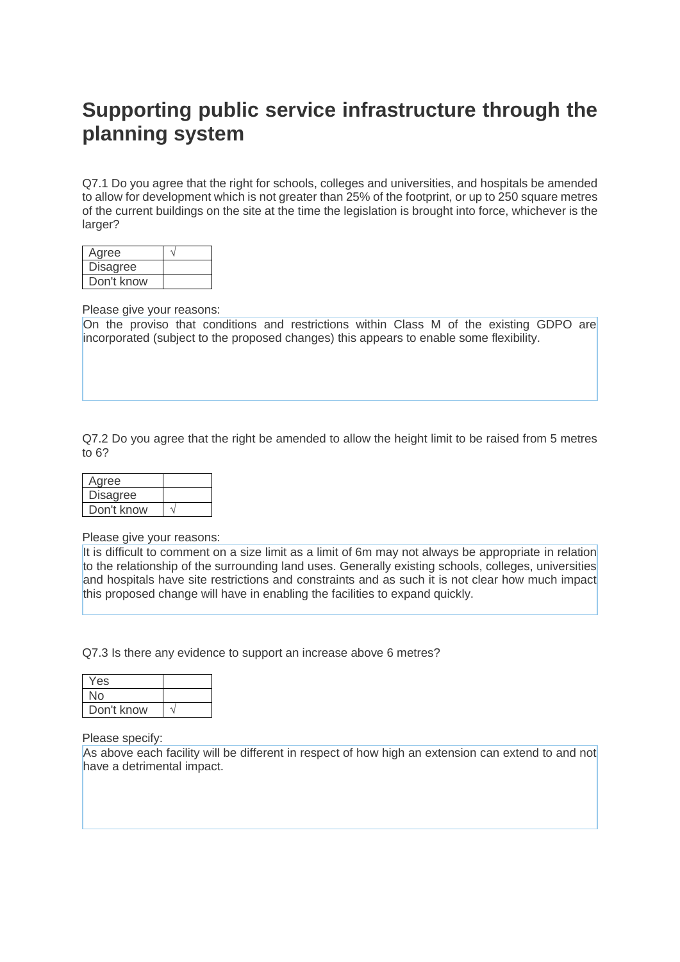# **Supporting public service infrastructure through the planning system**

Q7.1 Do you agree that the right for schools, colleges and universities, and hospitals be amended to allow for development which is not greater than 25% of the footprint, or up to 250 square metres of the current buildings on the site at the time the legislation is brought into force, whichever is the larger?

| Agree           |  |
|-----------------|--|
| <b>Disagree</b> |  |
| Don't know      |  |

Please give your reasons:

On the proviso that conditions and restrictions within Class M of the existing GDPO are incorporated (subject to the proposed changes) this appears to enable some flexibility.

Q7.2 Do you agree that the right be amended to allow the height limit to be raised from 5 metres to 6?

| Agree           |  |
|-----------------|--|
| <b>Disagree</b> |  |
| Don't know      |  |

Please give your reasons:

It is difficult to comment on a size limit as a limit of 6m may not always be appropriate in relation to the relationship of the surrounding land uses. Generally existing schools, colleges, universities and hospitals have site restrictions and constraints and as such it is not clear how much impact this proposed change will have in enabling the facilities to expand quickly.

Q7.3 Is there any evidence to support an increase above 6 metres?

| Yes        |  |
|------------|--|
| No         |  |
| Don't know |  |

Please specify:

As above each facility will be different in respect of how high an extension can extend to and not have a detrimental impact.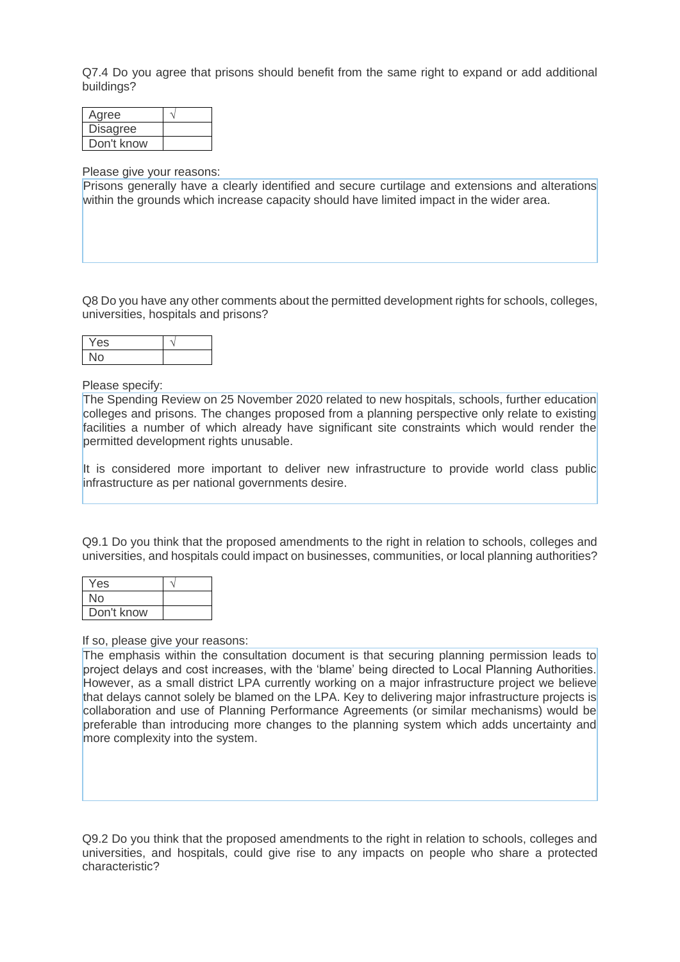Q7.4 Do you agree that prisons should benefit from the same right to expand or add additional buildings?

| Agree           |  |
|-----------------|--|
| <b>Disagree</b> |  |
| Don't know      |  |

#### Please give your reasons:

Prisons generally have a clearly identified and secure curtilage and extensions and alterations within the grounds which increase capacity should have limited impact in the wider area.

Q8 Do you have any other comments about the permitted development rights for schools, colleges, universities, hospitals and prisons?

| es |  |
|----|--|
|    |  |

Please specify:

The Spending Review on 25 November 2020 related to new hospitals, schools, further education colleges and prisons. The changes proposed from a planning perspective only relate to existing facilities a number of which already have significant site constraints which would render the permitted development rights unusable.

It is considered more important to deliver new infrastructure to provide world class public infrastructure as per national governments desire.

Q9.1 Do you think that the proposed amendments to the right in relation to schools, colleges and universities, and hospitals could impact on businesses, communities, or local planning authorities?

| Yes        |  |
|------------|--|
| No         |  |
| Don't know |  |

If so, please give your reasons:

The emphasis within the consultation document is that securing planning permission leads to project delays and cost increases, with the 'blame' being directed to Local Planning Authorities. However, as a small district LPA currently working on a major infrastructure project we believe that delays cannot solely be blamed on the LPA. Key to delivering major infrastructure projects is collaboration and use of Planning Performance Agreements (or similar mechanisms) would be preferable than introducing more changes to the planning system which adds uncertainty and more complexity into the system.

Q9.2 Do you think that the proposed amendments to the right in relation to schools, colleges and universities, and hospitals, could give rise to any impacts on people who share a protected characteristic?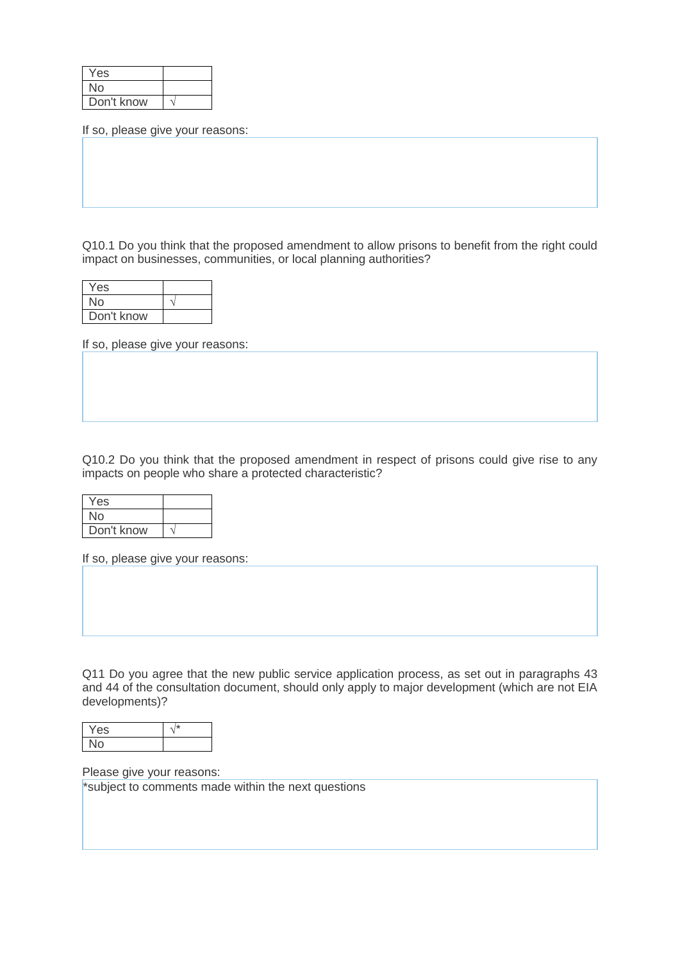| Yes        |  |
|------------|--|
| No         |  |
| Don't know |  |

If so, please give your reasons:

Q10.1 Do you think that the proposed amendment to allow prisons to benefit from the right could impact on businesses, communities, or local planning authorities?

| Yes        |  |
|------------|--|
| No         |  |
| Don't know |  |

If so, please give your reasons:

Q10.2 Do you think that the proposed amendment in respect of prisons could give rise to any impacts on people who share a protected characteristic?

| Yes        |  |
|------------|--|
| No         |  |
| Don't know |  |

If so, please give your reasons:

Q11 Do you agree that the new public service application process, as set out in paragraphs 43 and 44 of the consultation document, should only apply to major development (which are not EIA developments)?

| -<br>⊷ |  |
|--------|--|
|        |  |

Please give your reasons:

\*subject to comments made within the next questions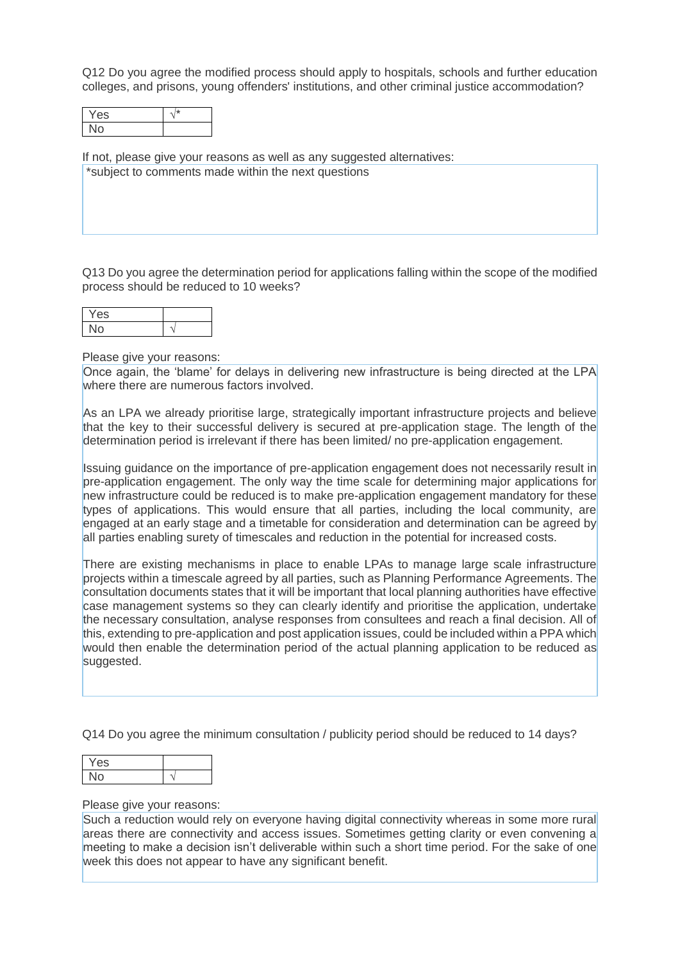Q12 Do you agree the modified process should apply to hospitals, schools and further education colleges, and prisons, young offenders' institutions, and other criminal justice accommodation?

| ∨<br>es |  |
|---------|--|
|         |  |

If not, please give your reasons as well as any suggested alternatives: \*subject to comments made within the next questions

Q13 Do you agree the determination period for applications falling within the scope of the modified process should be reduced to 10 weeks?

| es |  |
|----|--|
|    |  |

Please give your reasons:

Once again, the 'blame' for delays in delivering new infrastructure is being directed at the LPA where there are numerous factors involved.

As an LPA we already prioritise large, strategically important infrastructure projects and believe that the key to their successful delivery is secured at pre-application stage. The length of the determination period is irrelevant if there has been limited/ no pre-application engagement.

Issuing guidance on the importance of pre-application engagement does not necessarily result in pre-application engagement. The only way the time scale for determining major applications for new infrastructure could be reduced is to make pre-application engagement mandatory for these types of applications. This would ensure that all parties, including the local community, are engaged at an early stage and a timetable for consideration and determination can be agreed by all parties enabling surety of timescales and reduction in the potential for increased costs.

There are existing mechanisms in place to enable LPAs to manage large scale infrastructure projects within a timescale agreed by all parties, such as Planning Performance Agreements. The consultation documents states that it will be important that local planning authorities have effective case management systems so they can clearly identify and prioritise the application, undertake the necessary consultation, analyse responses from consultees and reach a final decision. All of this, extending to pre-application and post application issues, could be included within a PPA which would then enable the determination period of the actual planning application to be reduced as suggested.

Q14 Do you agree the minimum consultation / publicity period should be reduced to 14 days?

| ρc |  |
|----|--|
|    |  |

#### Please give your reasons:

Such a reduction would rely on everyone having digital connectivity whereas in some more rural areas there are connectivity and access issues. Sometimes getting clarity or even convening a meeting to make a decision isn't deliverable within such a short time period. For the sake of one week this does not appear to have any significant benefit.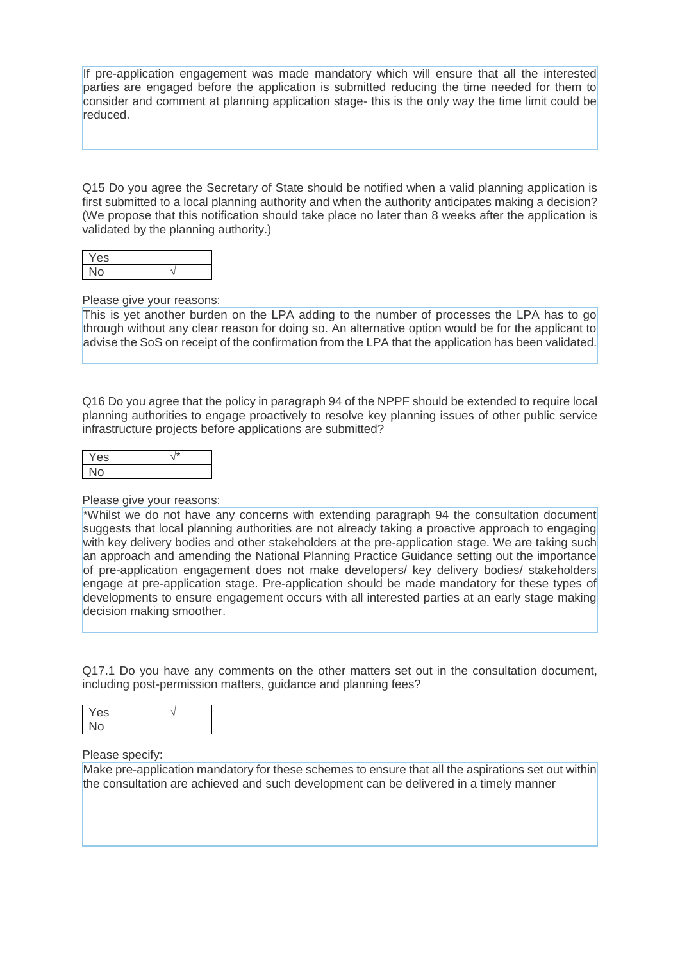If pre-application engagement was made mandatory which will ensure that all the interested parties are engaged before the application is submitted reducing the time needed for them to consider and comment at planning application stage- this is the only way the time limit could be reduced.

Q15 Do you agree the Secretary of State should be notified when a valid planning application is first submitted to a local planning authority and when the authority anticipates making a decision? (We propose that this notification should take place no later than 8 weeks after the application is validated by the planning authority.)

| v<br>es |   |
|---------|---|
|         | ۰ |

#### Please give your reasons:

This is yet another burden on the LPA adding to the number of processes the LPA has to go through without any clear reason for doing so. An alternative option would be for the applicant to advise the SoS on receipt of the confirmation from the LPA that the application has been validated.

Q16 Do you agree that the policy in paragraph 94 of the NPPF should be extended to require local planning authorities to engage proactively to resolve key planning issues of other public service infrastructure projects before applications are submitted?

| v<br>es. |  |
|----------|--|
|          |  |

#### Please give your reasons:

\*Whilst we do not have any concerns with extending paragraph 94 the consultation document suggests that local planning authorities are not already taking a proactive approach to engaging with key delivery bodies and other stakeholders at the pre-application stage. We are taking such an approach and amending the National Planning Practice Guidance setting out the importance of pre-application engagement does not make developers/ key delivery bodies/ stakeholders engage at pre-application stage. Pre-application should be made mandatory for these types of developments to ensure engagement occurs with all interested parties at an early stage making decision making smoother.

Q17.1 Do you have any comments on the other matters set out in the consultation document, including post-permission matters, guidance and planning fees?

| . . |  |
|-----|--|
|     |  |

#### Please specify:

Make pre-application mandatory for these schemes to ensure that all the aspirations set out within the consultation are achieved and such development can be delivered in a timely manner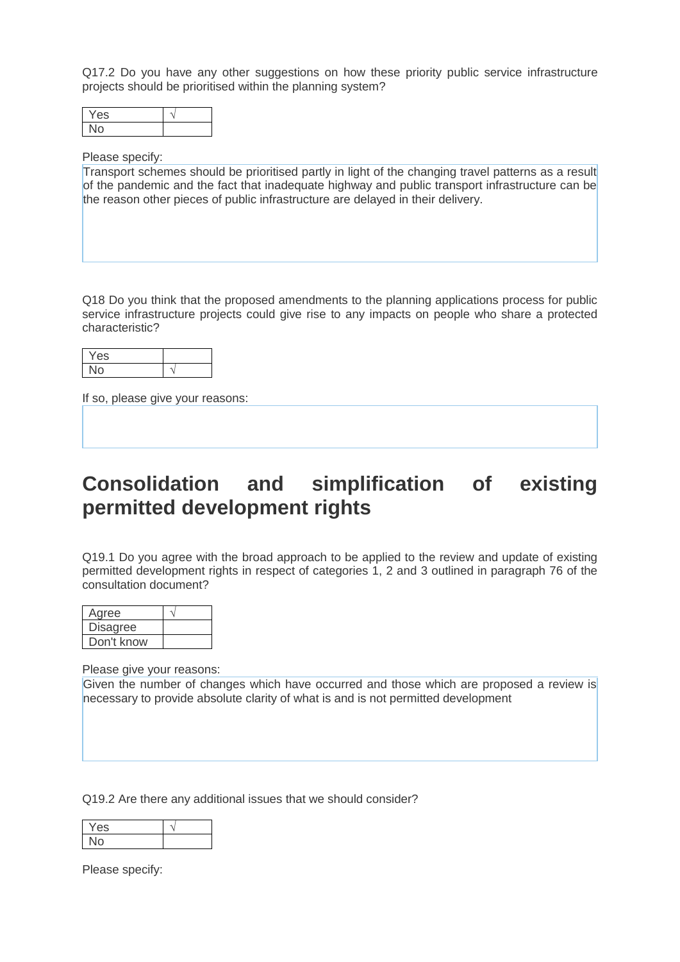Q17.2 Do you have any other suggestions on how these priority public service infrastructure projects should be prioritised within the planning system?

| $\mathsf{es}$ |  |
|---------------|--|
|               |  |

#### Please specify:

Transport schemes should be prioritised partly in light of the changing travel patterns as a result of the pandemic and the fact that inadequate highway and public transport infrastructure can be the reason other pieces of public infrastructure are delayed in their delivery.

Q18 Do you think that the proposed amendments to the planning applications process for public service infrastructure projects could give rise to any impacts on people who share a protected characteristic?

| י |  |
|---|--|
|   |  |

If so, please give your reasons:

# **Consolidation and simplification of existing permitted development rights**

Q19.1 Do you agree with the broad approach to be applied to the review and update of existing permitted development rights in respect of categories 1, 2 and 3 outlined in paragraph 76 of the consultation document?

| Agree           |  |
|-----------------|--|
| <b>Disagree</b> |  |
| Don't know      |  |

Please give your reasons:

Given the number of changes which have occurred and those which are proposed a review is necessary to provide absolute clarity of what is and is not permitted development

Q19.2 Are there any additional issues that we should consider?

| es |  |
|----|--|
|    |  |

Please specify: